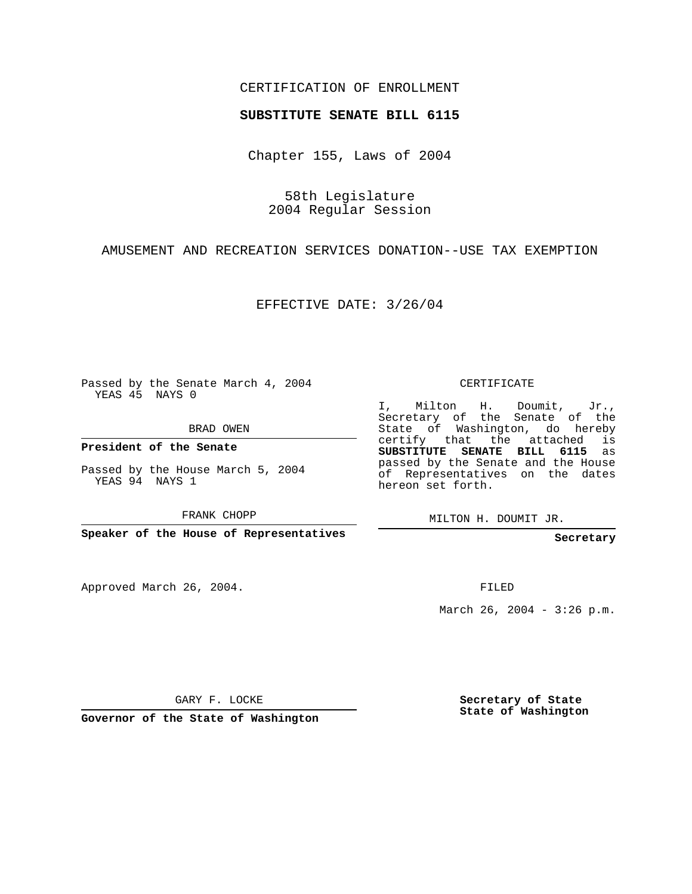## CERTIFICATION OF ENROLLMENT

## **SUBSTITUTE SENATE BILL 6115**

Chapter 155, Laws of 2004

58th Legislature 2004 Regular Session

AMUSEMENT AND RECREATION SERVICES DONATION--USE TAX EXEMPTION

EFFECTIVE DATE: 3/26/04

Passed by the Senate March 4, 2004 YEAS 45 NAYS 0

BRAD OWEN

**President of the Senate**

Passed by the House March 5, 2004 YEAS 94 NAYS 1

FRANK CHOPP

**Speaker of the House of Representatives**

Approved March 26, 2004.

CERTIFICATE

I, Milton H. Doumit, Jr., Secretary of the Senate of the State of Washington, do hereby certify that the attached is **SUBSTITUTE SENATE BILL 6115** as passed by the Senate and the House of Representatives on the dates hereon set forth.

MILTON H. DOUMIT JR.

**Secretary**

FILED

March 26, 2004 -  $3:26$  p.m.

GARY F. LOCKE

**Governor of the State of Washington**

**Secretary of State State of Washington**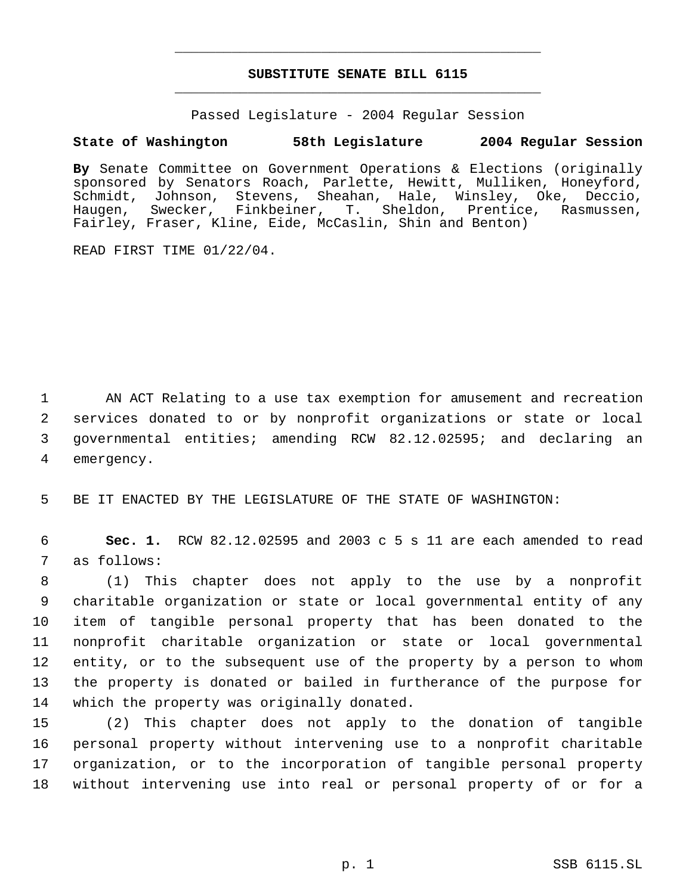## **SUBSTITUTE SENATE BILL 6115** \_\_\_\_\_\_\_\_\_\_\_\_\_\_\_\_\_\_\_\_\_\_\_\_\_\_\_\_\_\_\_\_\_\_\_\_\_\_\_\_\_\_\_\_\_

\_\_\_\_\_\_\_\_\_\_\_\_\_\_\_\_\_\_\_\_\_\_\_\_\_\_\_\_\_\_\_\_\_\_\_\_\_\_\_\_\_\_\_\_\_

Passed Legislature - 2004 Regular Session

## **State of Washington 58th Legislature 2004 Regular Session**

**By** Senate Committee on Government Operations & Elections (originally sponsored by Senators Roach, Parlette, Hewitt, Mulliken, Honeyford, Schmidt, Johnson, Stevens, Sheahan, Hale, Winsley, Oke, Deccio,<br>Haugen, Swecker, Finkbeiner, T. Sheldon, Prentice, Rasmussen, T. Sheldon, Prentice, Rasmussen, Fairley, Fraser, Kline, Eide, McCaslin, Shin and Benton)

READ FIRST TIME 01/22/04.

 AN ACT Relating to a use tax exemption for amusement and recreation services donated to or by nonprofit organizations or state or local governmental entities; amending RCW 82.12.02595; and declaring an emergency.

5 BE IT ENACTED BY THE LEGISLATURE OF THE STATE OF WASHINGTON:

 6 **Sec. 1.** RCW 82.12.02595 and 2003 c 5 s 11 are each amended to read 7 as follows:

 (1) This chapter does not apply to the use by a nonprofit charitable organization or state or local governmental entity of any item of tangible personal property that has been donated to the nonprofit charitable organization or state or local governmental entity, or to the subsequent use of the property by a person to whom the property is donated or bailed in furtherance of the purpose for which the property was originally donated.

 (2) This chapter does not apply to the donation of tangible personal property without intervening use to a nonprofit charitable organization, or to the incorporation of tangible personal property without intervening use into real or personal property of or for a